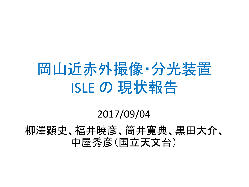#### 岡山近赤外撮像・分光装置 ISLE の 現状報告

#### 2017/09/04

柳澤顕史、福井暁彦、筒井寛典、黒田大介、 中屋秀彦(国立天文台)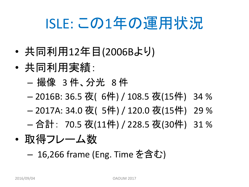# ISLE: この1年の運用状況

- 共同利用12年目(2006Bより)
- 共同利用実績:
	- 撮像 3 件、分光 8 件
	- 2016B: 36.5 夜( 6件) / 108.5 夜(15件) 34 %
	- 2017A: 34.0 夜( 5件) / 120.0 夜(15件) 29 %
	- 合計: 70.5 夜(11件) / 228.5 夜(30件) 31 %
- 取得フレーム数
	- 16,266 frame (Eng. Time を含む)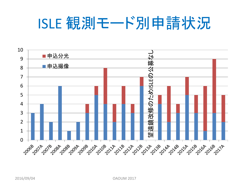### ISLE 観測モード別申請状況

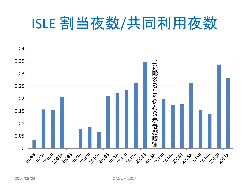# ISLE 割当夜数/共同利用夜数



2016/09/04 OAOUM 2017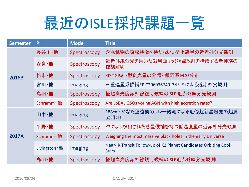

| <b>Semester</b> | PI                   | <b>Mode</b>    | <b>Title</b>                                                                    |
|-----------------|----------------------|----------------|---------------------------------------------------------------------------------|
| 2016B           | 長谷川·他                | Spectroscopy   | 含水鉱物の吸収特徴を持たないC型小惑星の近赤外分光観測                                                     |
|                 | 森鼻·他                 | Spectroscopy   | 近赤外線分光を用いた銀河面リッジX線放射を構成する新種族の<br>種族解明                                           |
|                 | 松永·他                 | Spectroscopy   | KISOGPミラ型変光星の分類と銀河系内の分布                                                         |
|                 | 宮川·他                 | Imaging        | 三重連星系候補EPIC206036749 のISLE による近赤外食観測                                            |
|                 | 鳥羽·他                 | Spectroscopy   | 極超高光度赤外線銀河候補のISLE 近赤外線分光観測                                                      |
|                 | Schramm · 他          | Spectroscopy   | Are LoBAL QSOs young AGN with high accretion rates?                             |
| 2017A           | 山中·他                 | <b>Imaging</b> | 188cm・かなた望遠鏡のリレー観測による近傍超新星爆発の起源<br>究明(t)                                        |
|                 | 平野•他                 | Spectroscopy   | K2により検出された惑星候補を持つ低温度星の近赤外分光観測                                                   |
|                 | Schramm · 他          | Spectroscopy   | Weighing the most massive black holes in the early Universe                     |
|                 | Livingston $\cdot$ 他 | <b>Imaging</b> | Near-IR Transit Follow-up of K2 Planet Candidates Orbiting Cool<br><b>Stars</b> |
|                 | 鳥羽·他                 | Spectroscopy   | 極超高光度赤外線銀河候補のISLE近赤外線分光観測Ⅱ                                                      |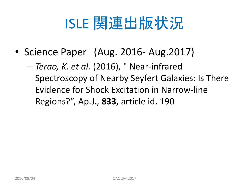# ISLE 関連出版状況

- Science Paper (Aug. 2016- Aug.2017)
	- *Terao, K. et al.* (2016), " Near-infrared Spectroscopy of Nearby Seyfert Galaxies: Is There Evidence for Shock Excitation in Narrow-line Regions?", Ap.J., **833**, article id. 190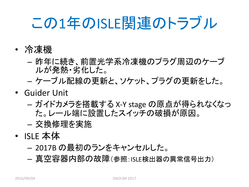# この1年のISLE関連のトラブル

- 冷凍機
	- 昨年に続き、前置光学系冷凍機のプラグ周辺のケーブ ルが発熱・劣化した。
	- ケーブル配線の更新と、ソケット、プラグの更新をした。
- Guider Unit
	- ガイドカメラを搭載する X-Y stage の原点が得られなくなっ た。レール端に設置したスイッチの破損が原因。
	- 交換修理を実施
- ISLE 本体
	- 2017B の最初のランをキャンセルした。
	- 真空容器内部の故障(参照:ISLE検出器の異常信号出力)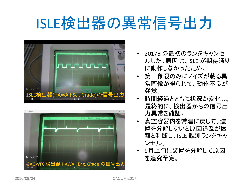# ISLE検出器の異常信号出力





- 2017B の最初のランをキャンセ ルした。原因は、ISLE が期待通り に動作しなかったため。
- 第一象限のみにノイズが載る異 常画像が得られて、動作不良が 発覚。
- 時間経過とともに状況が変化し、 最終的に、検出器からの信号出 力異常を確認。
- 真空容器内を常温に戻して、装 置を分解しないと原因追及が困 難と判断し、ISLE 観測ランをキャ ンセル。
- 9月上旬に装置を分解して原因 を追究予定。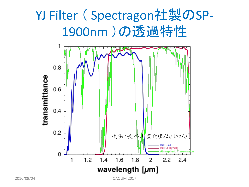#### YJ Filter ( Spectragon社製のSP-1900nm )の透過特性



2016/09/04 OAOUM 2017